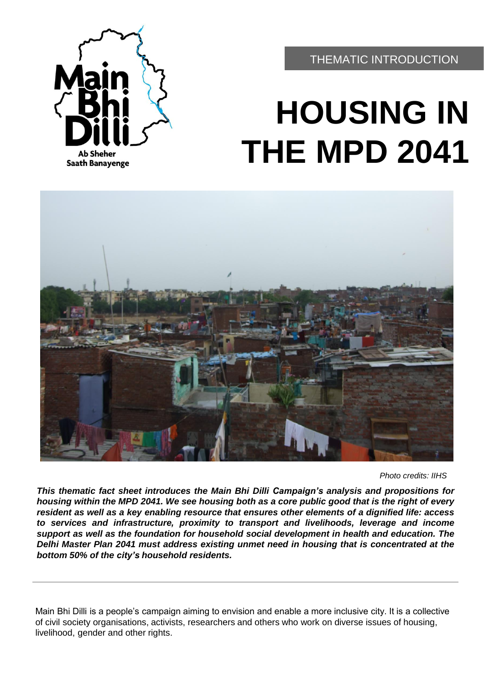

THEMATIC INTRODUCTION

# **HOUSING IN THE MPD 2041**



*Photo credits: IIHS*

*This thematic fact sheet introduces the Main Bhi Dilli Campaign's analysis and propositions for* housing within the MPD 2041. We see housing both as a core public good that is the right of every *resident as well as a key enabling resource that ensures other elements of a dignified life: access to services and infrastructure, proximity to transport and livelihoods, leverage and income support as well as the foundation for household social development in health and education. The Delhi Master Plan 2041 must address existing unmet need in housing that is concentrated at the bottom 50% of the city's household residents.*

Main Bhi Dilli is a people's campaign aiming to envision and enable a more inclusive city. It is a collective of civil society organisations, activists, researchers and others who work on diverse issues of housing, livelihood, gender and other rights.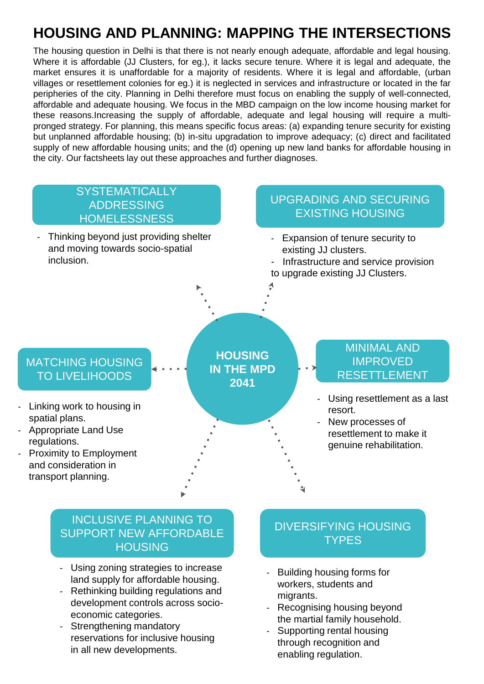# **HOUSING AND PLANNING: MAPPING THE INTERSECTIONS**

The housing question in Delhi is that there is not nearly enough adequate, affordable and legal housing. Where it is affordable (JJ Clusters, for eg.), it lacks secure tenure. Where it is legal and adequate, the market ensures it is unaffordable for a majority of residents. Where it is legal and affordable, (urban villages or resettlement colonies for eg.) it is neglected in services and infrastructure or located in the far peripheries of the city. Planning in Delhi therefore must focus on enabling the supply of well-connected, affordable and adequate housing. We focus in the MBD campaign on the low income housing market for these reasons.Increasing the supply of affordable, adequate and legal housing will require a multipronged strategy. For planning, this means specific focus areas: (a) expanding tenure security for existing but unplanned affordable housing; (b) in-situ upgradation to improve adequacy; (c) direct and facilitated supply of new affordable housing units; and the (d) opening up new land banks for affordable housing in the city. Our factsheets lay out these approaches and further diagnoses.

#### **HOUSING IN THE MPD 2041 SYSTEMATICALLY** ADDRESSING **HOMELESSNESS** UPGRADING AND SECURING EXISTING HOUSING MINIMAL AND IMPROVED RESETTLEMENT MATCHING HOUSING TO LIVELIHOODS - Linking work to housing in spatial plans. - Appropriate Land Use regulations. - Proximity to Employment and consideration in transport planning. Using resettlement as a last resort. New processes of resettlement to make it genuine rehabilitation. - Expansion of tenure security to existing JJ clusters. - Infrastructure and service provision to upgrade existing JJ Clusters. Thinking beyond just providing shelter and moving towards socio-spatial inclusion.

### INCLUSIVE PLANNING TO SUPPORT NEW AFFORDABLE HOUSING

- Using zoning strategies to increase land supply for affordable housing.
- Rethinking building regulations and development controls across socioeconomic categories.
- Strengthening mandatory reservations for inclusive housing in all new developments.

## DIVERSIFYING HOUSING **TYPES**

- Building housing forms for workers, students and migrants.
- Recognising housing beyond the martial family household.
- Supporting rental housing through recognition and enabling regulation.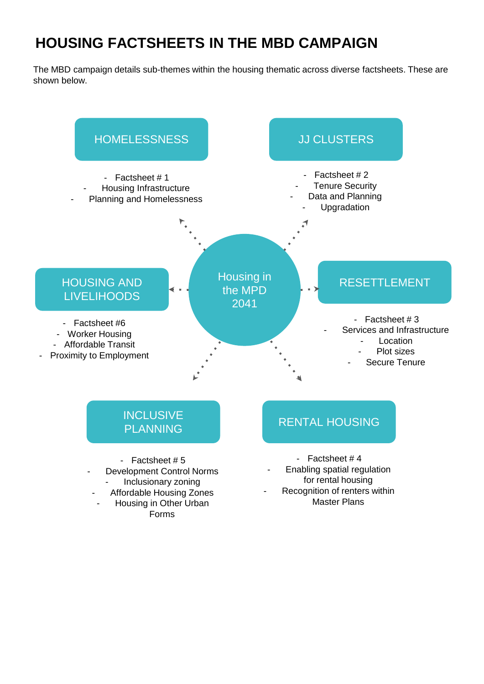## **HOUSING FACTSHEETS IN THE MBD CAMPAIGN**

The MBD campaign details sub-themes within the housing thematic across diverse factsheets. These are shown below.